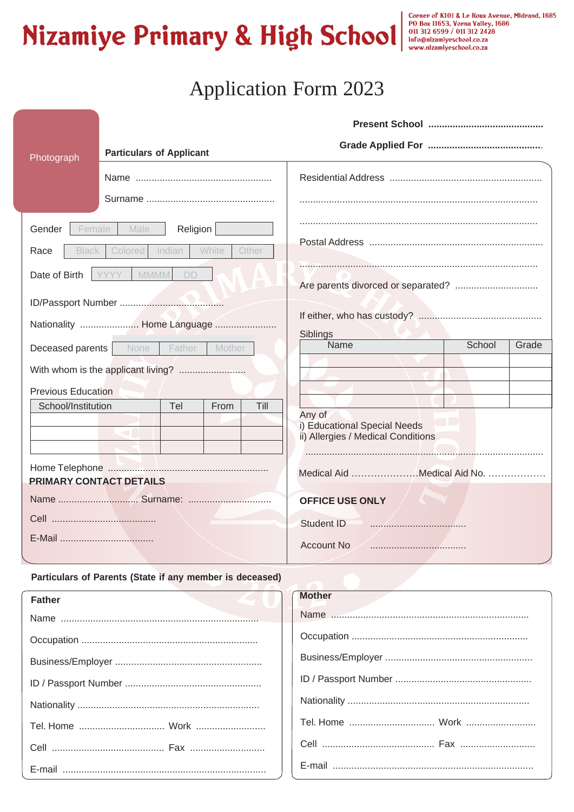# Nizamiye Primary & High School and allog the Roux Avenue, Midrand, 1685

# **Application Form 2023**

| Photograph                     | <b>Particulars of Applicant</b>    |        |                                                                    |                 |
|--------------------------------|------------------------------------|--------|--------------------------------------------------------------------|-----------------|
|                                |                                    |        |                                                                    |                 |
|                                |                                    |        |                                                                    |                 |
| Female<br>Gender               | Male<br>Religion                   |        |                                                                    |                 |
| Race<br>Black                  | Colored<br>White<br>Indian         | Other  |                                                                    |                 |
| Date of Birth                  | <b>MMMM</b><br>YYYY<br>DD          |        |                                                                    |                 |
|                                |                                    |        |                                                                    |                 |
| Nationality  Home Language     |                                    |        | Siblings                                                           |                 |
| <b>Deceased parents</b>   None | Father                             | Mother | Name                                                               | School<br>Grade |
|                                | With whom is the applicant living? |        |                                                                    |                 |
| <b>Previous Education</b>      |                                    |        |                                                                    |                 |
| School/Institution             | Tel<br>From                        | Till   | Any of                                                             |                 |
|                                |                                    |        | i) Educational Special Needs<br>ii) Allergies / Medical Conditions |                 |
|                                |                                    |        |                                                                    |                 |
| PRIMARY CONTACT DETAILS        |                                    |        | Medical Aid Medical Aid No.                                        |                 |
|                                |                                    |        | <b>OFFICE USE ONLY</b>                                             |                 |
|                                |                                    |        | <b>Student ID</b>                                                  |                 |
|                                |                                    |        | <b>Account No</b>                                                  |                 |
|                                |                                    |        |                                                                    |                 |

#### Particulars of Parents (State if any member is deceased)

| <b>ASTRONO</b><br>Father | <b>Mother</b> |
|--------------------------|---------------|
|                          |               |
|                          |               |
|                          |               |
|                          |               |
|                          |               |
|                          |               |
|                          |               |
|                          |               |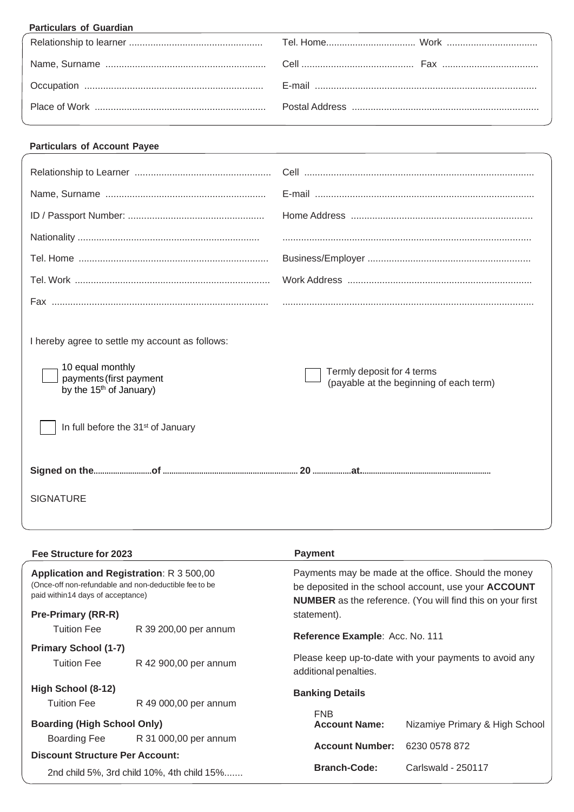| <b>Particulars of Guardian</b><br>and the control of the control of the control of the control of the control of the control of the control of the |  |
|----------------------------------------------------------------------------------------------------------------------------------------------------|--|
|                                                                                                                                                    |  |
|                                                                                                                                                    |  |
|                                                                                                                                                    |  |
|                                                                                                                                                    |  |

## **Particulars of Account Payee**

| I hereby agree to settle my account as follows:<br>10 equal monthly<br>payments (first payment<br>by the 15 <sup>th</sup> of January)<br>In full before the 31 <sup>st</sup> of January | Termly deposit for 4 terms<br>(payable at the beginning of each term) |
|-----------------------------------------------------------------------------------------------------------------------------------------------------------------------------------------|-----------------------------------------------------------------------|
|                                                                                                                                                                                         |                                                                       |
| <b>SIGNATURE</b>                                                                                                                                                                        |                                                                       |

| Fee Structure for 2023                                                                                                                  |                       | <b>Payment</b>                                                                                                                                                                           |                                |
|-----------------------------------------------------------------------------------------------------------------------------------------|-----------------------|------------------------------------------------------------------------------------------------------------------------------------------------------------------------------------------|--------------------------------|
| Application and Registration: R 3 500,00<br>(Once-off non-refundable and non-deductible fee to be<br>paid within 14 days of acceptance) |                       | Payments may be made at the office. Should the money<br>be deposited in the school account, use your <b>ACCOUNT</b><br><b>NUMBER</b> as the reference. (You will find this on your first |                                |
| <b>Pre-Primary (RR-R)</b>                                                                                                               |                       | statement).                                                                                                                                                                              |                                |
| <b>Tuition Fee</b>                                                                                                                      | R 39 200,00 per annum | Reference Example: Acc. No. 111                                                                                                                                                          |                                |
| <b>Primary School (1-7)</b>                                                                                                             |                       |                                                                                                                                                                                          |                                |
| <b>Tuition Fee</b>                                                                                                                      | R 42 900,00 per annum | Please keep up-to-date with your payments to avoid any<br>additional penalties.                                                                                                          |                                |
| High School (8-12)                                                                                                                      |                       | <b>Banking Details</b>                                                                                                                                                                   |                                |
| <b>Tuition Fee</b>                                                                                                                      | R 49 000,00 per annum |                                                                                                                                                                                          |                                |
| <b>Boarding (High School Only)</b>                                                                                                      |                       | <b>FNB</b><br><b>Account Name:</b>                                                                                                                                                       | Nizamiye Primary & High School |
| Boarding Fee                                                                                                                            | R 31 000,00 per annum | <b>Account Number:</b>                                                                                                                                                                   | 6230 0578 872                  |
| <b>Discount Structure Per Account:</b>                                                                                                  |                       |                                                                                                                                                                                          |                                |
| 2nd child 5%, 3rd child 10%, 4th child 15%                                                                                              |                       | <b>Branch-Code:</b>                                                                                                                                                                      | Carlswald - 250117             |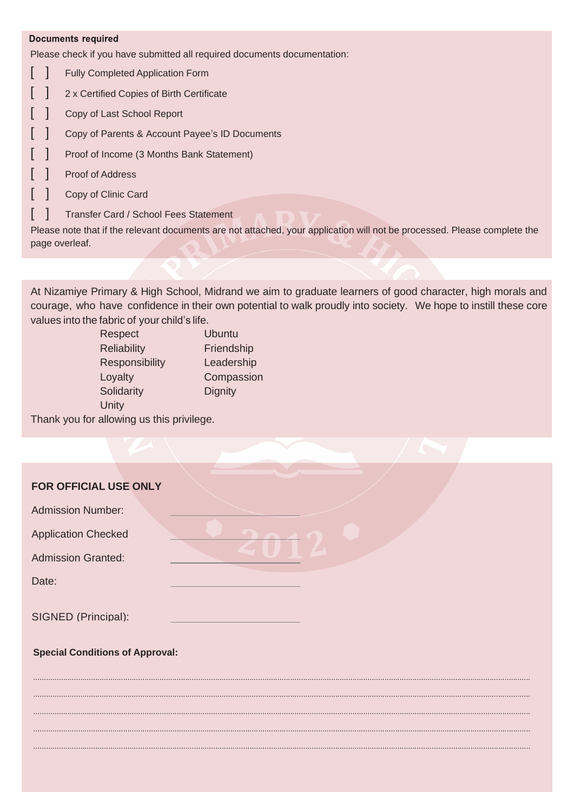#### **Documents required**

Please check if you have submitted all required documents documentation:

- $\mathsf{L}$ ] Fully Completed Application Form
- $\lceil$ ] 2 x Certified Copies of Birth Certificate
- [ ] Copy of Last School Report
- [ ] Copy of Parents & Account Payee's ID Documents
- [ ] Proof of Income (3 Months Bank Statement)
- [ ] Proof of Address
- [ ] Copy of Clinic Card
- [ ] Transfer Card / School Fees Statement

Please note that if the relevant documents are not attached, your application will not be processed. Please complete the page overleaf.

At Nizamiye Primary & High School, Midrand we aim to graduate learners of good character, high morals and courage, who have confidence in their own potential to walk proudly into society. We hope to instill these core values into the fabric of your child's life.

........................................................................................................................................................................................................................................

........................................................................................................................................................................................................................................

........................................................................................................................................................................................................................................ ........................................................................................................................................................................................................................................

........................................................................................................................................................................................................................................

| Respect            | <b>Ubuntu</b>  |
|--------------------|----------------|
| <b>Reliability</b> | Friendship     |
| Responsibility     | Leadership     |
| Loyalty            | Compassion     |
| Solidarity         | <b>Dignity</b> |
| Unity              |                |
|                    |                |

Thank you for allowing us this privilege.

### **FOR OFFICIAL USE ONLY**

|  | <b>Admission Number:</b> |  |
|--|--------------------------|--|
|  |                          |  |

Application Checked

Admission Granted:

Date:

SIGNED (Principal):

**Special Conditions of Approval:**